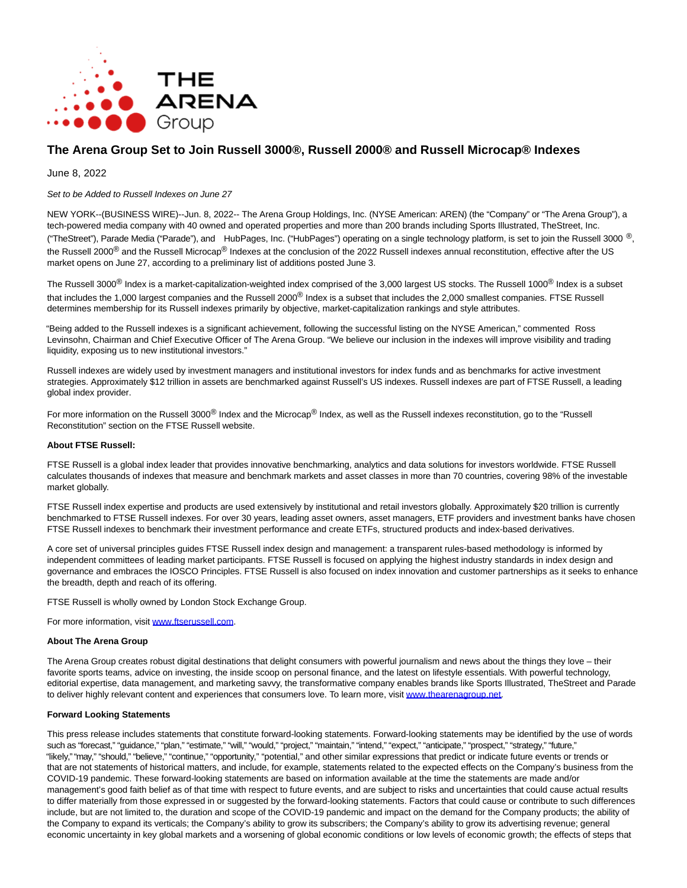

# **The Arena Group Set to Join Russell 3000®, Russell 2000® and Russell Microcap® Indexes**

## June 8, 2022

#### Set to be Added to Russell Indexes on June 27

NEW YORK--(BUSINESS WIRE)--Jun. 8, 2022-- The Arena Group Holdings, Inc. (NYSE American: AREN) (the "Company" or "The Arena Group"), a tech-powered media company with 40 owned and operated properties and more than 200 brands including Sports Illustrated, TheStreet, Inc. ("TheStreet"), Parade Media ("Parade"), and HubPages, Inc. ("HubPages") operating on a single technology platform, is set to join the Russell 3000  $^{\circledR}$ , the Russell 2000<sup>®</sup> and the Russell Microcap<sup>®</sup> Indexes at the conclusion of the 2022 Russell indexes annual reconstitution, effective after the US market opens on June 27, according to a preliminary list of additions posted June 3.

The Russell 3000<sup>®</sup> Index is a market-capitalization-weighted index comprised of the 3,000 largest US stocks. The Russell 1000<sup>®</sup> Index is a subset that includes the 1,000 largest companies and the Russell 2000<sup>®</sup> Index is a subset that includes the 2,000 smallest companies. FTSE Russell determines membership for its Russell indexes primarily by objective, market-capitalization rankings and style attributes.

"Being added to the Russell indexes is a significant achievement, following the successful listing on the NYSE American," commented Ross Levinsohn, Chairman and Chief Executive Officer of The Arena Group. "We believe our inclusion in the indexes will improve visibility and trading liquidity, exposing us to new institutional investors."

Russell indexes are widely used by investment managers and institutional investors for index funds and as benchmarks for active investment strategies. Approximately \$12 trillion in assets are benchmarked against Russell's US indexes. Russell indexes are part of FTSE Russell, a leading global index provider.

For more information on the Russell 3000<sup>®</sup> Index and the Microcap<sup>®</sup> Index, as well as the Russell indexes reconstitution, go to the "Russell Reconstitution" section on the FTSE Russell website.

#### **About FTSE Russell:**

FTSE Russell is a global index leader that provides innovative benchmarking, analytics and data solutions for investors worldwide. FTSE Russell calculates thousands of indexes that measure and benchmark markets and asset classes in more than 70 countries, covering 98% of the investable market globally.

FTSE Russell index expertise and products are used extensively by institutional and retail investors globally. Approximately \$20 trillion is currently benchmarked to FTSE Russell indexes. For over 30 years, leading asset owners, asset managers, ETF providers and investment banks have chosen FTSE Russell indexes to benchmark their investment performance and create ETFs, structured products and index-based derivatives.

A core set of universal principles guides FTSE Russell index design and management: a transparent rules-based methodology is informed by independent committees of leading market participants. FTSE Russell is focused on applying the highest industry standards in index design and governance and embraces the IOSCO Principles. FTSE Russell is also focused on index innovation and customer partnerships as it seeks to enhance the breadth, depth and reach of its offering.

FTSE Russell is wholly owned by London Stock Exchange Group.

For more information, visit [www.ftserussell.com.](https://cts.businesswire.com/ct/CT?id=smartlink&url=http%3A%2F%2Fwww.ftserussell.com&esheet=52742646&newsitemid=20220608005188&lan=en-US&anchor=www.ftserussell.com&index=1&md5=61845e47f3a2d9aeb1cedcb2d6baf80c)

#### **About The Arena Group**

The Arena Group creates robust digital destinations that delight consumers with powerful journalism and news about the things they love – their favorite sports teams, advice on investing, the inside scoop on personal finance, and the latest on lifestyle essentials. With powerful technology, editorial expertise, data management, and marketing savvy, the transformative company enables brands like Sports Illustrated, TheStreet and Parade to deliver highly relevant content and experiences that consumers love. To learn more, visi[t www.thearenagroup.net.](https://cts.businesswire.com/ct/CT?id=smartlink&url=http%3A%2F%2Fwww.thearenagroup.net&esheet=52742646&newsitemid=20220608005188&lan=en-US&anchor=www.thearenagroup.net&index=2&md5=7cedc700635cf79b91fa8ba1f52c7745)

### **Forward Looking Statements**

This press release includes statements that constitute forward-looking statements. Forward-looking statements may be identified by the use of words such as "forecast," "guidance," "plan," "estimate," "will," "would," "project," "maintain," "intend," "expect," "anticipate," "prospect," "strategy," "future," "likely," "may," "should," "believe," "continue," "opportunity," "potential," and other similar expressions that predict or indicate future events or trends or that are not statements of historical matters, and include, for example, statements related to the expected effects on the Company's business from the COVID-19 pandemic. These forward-looking statements are based on information available at the time the statements are made and/or management's good faith belief as of that time with respect to future events, and are subject to risks and uncertainties that could cause actual results to differ materially from those expressed in or suggested by the forward-looking statements. Factors that could cause or contribute to such differences include, but are not limited to, the duration and scope of the COVID-19 pandemic and impact on the demand for the Company products; the ability of the Company to expand its verticals; the Company's ability to grow its subscribers; the Company's ability to grow its advertising revenue; general economic uncertainty in key global markets and a worsening of global economic conditions or low levels of economic growth; the effects of steps that